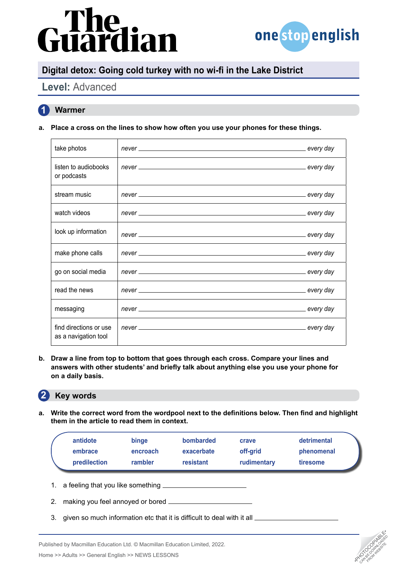## lian  $\blacksquare$



**PHOTOCOPIABLE** CAN BE DOWNLOAD FROM WEBSITE

## **Digital detox: Going cold turkey with no wi-fi in the Lake District**

## **Level:** Advanced

## **1 Warmer**

**a. Place a cross on the lines to show how often you use your phones for these things.** 

| take photos                                    |  |
|------------------------------------------------|--|
| listen to audiobooks<br>or podcasts            |  |
| stream music                                   |  |
| watch videos                                   |  |
| look up information                            |  |
| make phone calls                               |  |
| go on social media                             |  |
| read the news                                  |  |
| messaging                                      |  |
| find directions or use<br>as a navigation tool |  |

**b. Draw a line from top to bottom that goes through each cross. Compare your lines and answers with other students' and briefly talk about anything else you use your phone for on a daily basis.**

### **2 Key words**

**a. Write the correct word from the wordpool next to the definitions below. Then find and highlight them in the article to read them in context.**

| antidote     | binge    | bombarded  | crave       | detrimental |
|--------------|----------|------------|-------------|-------------|
| embrace      | encroach | exacerbate | off-grid    | phenomenal  |
| predilection | rambler  | resistant  | rudimentary | tiresome    |

- 1. a feeling that you like something
- 2. making you feel annoyed or bored
- 3. given so much information etc that it is difficult to deal with it all

Published by Macmillan Education Ltd. © Macmillan Education Limited, 2022.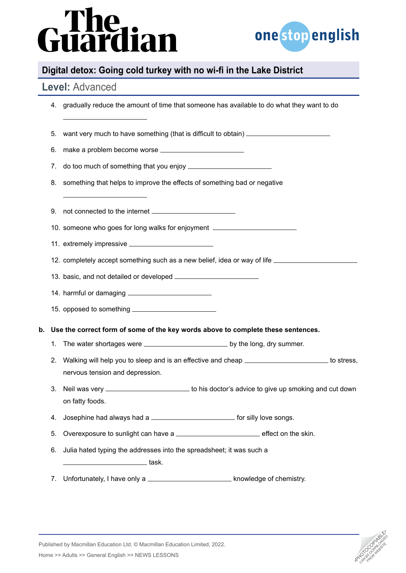# dian



## **Digital detox: Going cold turkey with no wi-fi in the Lake District**

## **Level:** Advanced

4. gradually reduce the amount of time that someone has available to do what they want to do

5. want very much to have something (that is difficult to obtain)

6. make a problem become worse

7. do too much of something that you enjoy \_\_\_\_\_\_\_\_\_\_\_

8. something that helps to improve the effects of something bad or negative

9. not connected to the internet

10. someone who goes for long walks for enjoyment

11. extremely impressive

12. completely accept something such as a new belief, idea or way of life

- 13. basic, and not detailed or developed
- 14. harmful or damaging
- 15. opposed to something
- **b. Use the correct form of some of the key words above to complete these sentences.**
	- 1. The water shortages were by the long, dry summer.
	- 2. Walking will help you to sleep and is an effective and cheap **the subset of stress**, nervous tension and depression.
	- 3. Neil was very **SECT ACCORD EXECT** to his doctor's advice to give up smoking and cut down on fatty foods.
	- 4. Josephine had always had a **for sensom and solution** for silly love songs.
	- 5. Overexposure to sunlight can have a **EXAL EXAL EXALGE A EXACTLE** effect on the skin.
	- 6. Julia hated typing the addresses into the spreadsheet; it was such a  $\overline{\phantom{a}}$  task.
	- 7. Unfortunately, I have only a knowledge of chemistry.



Published by Macmillan Education Ltd. © Macmillan Education Limited, 2022.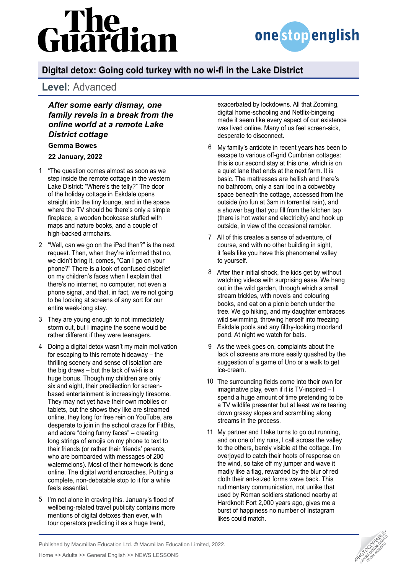# lian



## **Digital detox: Going cold turkey with no wi-fi in the Lake District**

## **Level:** Advanced

*After some early dismay, one family revels in a break from the online world at a remote Lake District cottage* 

**Gemma Bowes**

**22 January, 2022**

- "The question comes almost as soon as we 1 step inside the remote cottage in the western Lake District: "Where's the telly?" The door of the holiday cottage in Eskdale opens straight into the tiny lounge, and in the space where the TV should be there's only a simple fireplace, a wooden bookcase stuffed with maps and nature books, and a couple of high-backed armchairs.
- "Well, can we go on the iPad then?" is the next 2 request. Then, when they're informed that no, we didn't bring it, comes, "Can I go on your phone?" There is a look of confused disbelief on my children's faces when I explain that there's no internet, no computer, not even a phone signal, and that, in fact, we're not going to be looking at screens of any sort for our entire week-long stay.
- They are young enough to not immediately 3 storm out, but I imagine the scene would be rather different if they were teenagers.
- Doing a digital detox wasn't my main motivation 4 for escaping to this remote hideaway – the thrilling scenery and sense of isolation are the big draws – but the lack of wi-fi is a huge bonus. Though my children are only six and eight, their predilection for screenbased entertainment is increasingly tiresome. They may not yet have their own mobiles or tablets, but the shows they like are streamed online, they long for free rein on YouTube, are desperate to join in the school craze for FitBits, and adore "doing funny faces" – creating long strings of emojis on my phone to text to their friends (or rather their friends' parents, who are bombarded with messages of 200 watermelons). Most of their homework is done online. The digital world encroaches. Putting a complete, non-debatable stop to it for a while feels essential.
- 5 I'm not alone in craving this. January's flood of wellbeing-related travel publicity contains more mentions of digital detoxes than ever, with tour operators predicting it as a huge trend,

exacerbated by lockdowns. All that Zooming, digital home-schooling and Netflix-bingeing made it seem like every aspect of our existence was lived online. Many of us feel screen-sick, desperate to disconnect.

- My family's antidote in recent years has been to 6 escape to various off-grid Cumbrian cottages: this is our second stay at this one, which is on a quiet lane that ends at the next farm. It is basic. The mattresses are hellish and there's no bathroom, only a sani loo in a cobwebby space beneath the cottage, accessed from the outside (no fun at 3am in torrential rain), and a shower bag that you fill from the kitchen tap (there is hot water and electricity) and hook up outside, in view of the occasional rambler.
- All of this creates a sense of adventure, of 7 course, and with no other building in sight, it feels like you have this phenomenal valley to yourself.
- 8 After their initial shock, the kids get by without watching videos with surprising ease. We hang out in the wild garden, through which a small stream trickles, with novels and colouring books, and eat on a picnic bench under the tree. We go hiking, and my daughter embraces wild swimming, throwing herself into freezing Eskdale pools and any filthy-looking moorland pond. At night we watch for bats.
- As the week goes on, complaints about the 9 lack of screens are more easily quashed by the suggestion of a game of Uno or a walk to get ice-cream.
- 10 The surrounding fields come into their own for imaginative play, even if it is TV-inspired – I spend a huge amount of time pretending to be a TV wildlife presenter but at least we're tearing down grassy slopes and scrambling along streams in the process.
- My partner and I take turns to go out running, 11and on one of my runs, I call across the valley to the others, barely visible at the cottage. I'm overjoyed to catch their hoots of response on the wind, so take off my jumper and wave it madly like a flag, rewarded by the blur of red cloth their ant-sized forms wave back. This rudimentary communication, not unlike that used by Roman soldiers stationed nearby at Hardknott Fort 2,000 years ago, gives me a burst of happiness no number of Instagram likes could match.



Published by Macmillan Education Ltd. © Macmillan Education Limited, 2022.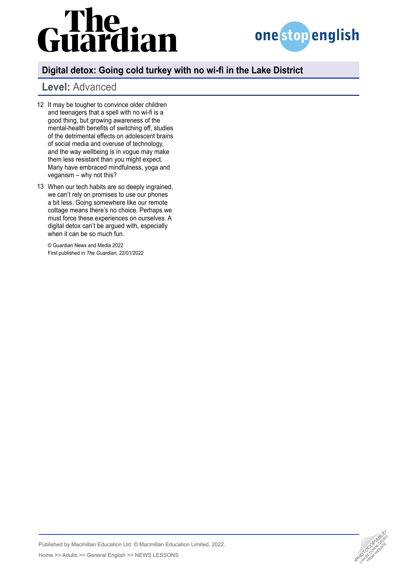## lian Ñ  $\blacksquare$



## **Digital detox: Going cold turkey with no wi-fi in the Lake District**

## **Level:** Advanced

- 12 It may be tougher to convince older children and teenagers that a spell with no wi-fi is a good thing, but growing awareness of the mental-health benefits of switching off, studies of the detrimental effects on adolescent brains of social media and overuse of technology, and the way wellbeing is in vogue may make them less resistant than you might expect. Many have embraced mindfulness, yoga and veganism – why not this?
- When our tech habits are so deeply ingrained, 13we can't rely on promises to use our phones a bit less. Going somewhere like our remote cottage means there's no choice. Perhaps we must force these experiences on ourselves. A digital detox can't be argued with, especially when it can be so much fun.

© Guardian News and Media 2022 First published in *The Guardian*, 22/01/2022

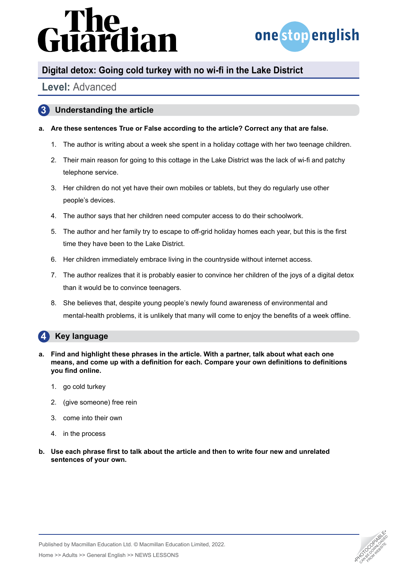# dian



## **Digital detox: Going cold turkey with no wi-fi in the Lake District**

## **Level:** Advanced

## **3 Understanding the article**

## **a. Are these sentences True or False according to the article? Correct any that are false.**

- 1. The author is writing about a week she spent in a holiday cottage with her two teenage children.
- 2. Their main reason for going to this cottage in the Lake District was the lack of wi-fi and patchy telephone service.
- 3. Her children do not yet have their own mobiles or tablets, but they do regularly use other people's devices.
- 4. The author says that her children need computer access to do their schoolwork.
- 5. The author and her family try to escape to off-grid holiday homes each year, but this is the first time they have been to the Lake District.
- 6. Her children immediately embrace living in the countryside without internet access.
- 7. The author realizes that it is probably easier to convince her children of the joys of a digital detox than it would be to convince teenagers.
- 8. She believes that, despite young people's newly found awareness of environmental and mental-health problems, it is unlikely that many will come to enjoy the benefits of a week offline.

### **4 Key language**

- **a. Find and highlight these phrases in the article. With a partner, talk about what each one means, and come up with a definition for each. Compare your own definitions to definitions you find online.**
	- 1. go cold turkey
	- 2. (give someone) free rein
	- 3. come into their own
	- 4. in the process
- **b. Use each phrase first to talk about the article and then to write four new and unrelated sentences of your own.**



Published by Macmillan Education Ltd. © Macmillan Education Limited, 2022.